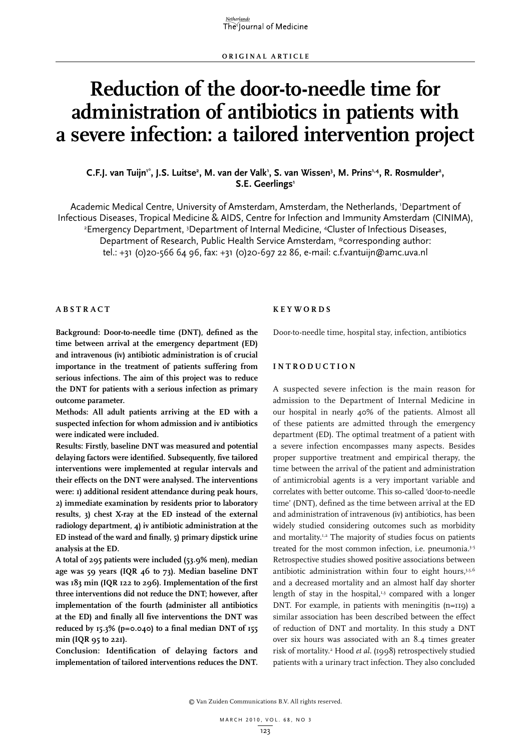# **Reduction of the door-to-needle time for administration of antibiotics in patients with a severe infection: a tailored intervention project**

## C.F.J. van Tuijn'\*, J.S. Luitse<sup>2</sup>, M. van der Valk', S. van Wissen<sup>3</sup>, M. Prins<sup>1,4</sup>, R. Rosmulder<sup>2</sup>, **S.E. Geerlings1**

Academic Medical Centre, University of Amsterdam, Amsterdam, the Netherlands, 1 Department of Infectious Diseases, Tropical Medicine & AIDS, Centre for Infection and Immunity Amsterdam (CINIMA), 2 Emergency Department, <sup>3</sup>Department of Internal Medicine, <sup>4</sup>Cluster of Infectious Diseases, Department of Research, Public Health Service Amsterdam, \*corresponding author: tel.: +31 (0)20-566 64 96, fax: +31 (0)20-697 22 86, e-mail: c.f.vantuijn@amc.uva.nl

#### **A b s t r a c t**

**Background: Door-to-needle time (DNT), defined as the time between arrival at the emergency department (ED) and intravenous (iv) antibiotic administration is of crucial importance in the treatment of patients suffering from serious infections. The aim of this project was to reduce the DNT for patients with a serious infection as primary outcome parameter.** 

**Methods: All adult patients arriving at the ED with a suspected infection for whom admission and iv antibiotics were indicated were included.** 

**Results: Firstly, baseline DNT was measured and potential delaying factors were identified. Subsequently, five tailored interventions were implemented at regular intervals and their effects on the DNT were analysed. The interventions were: 1) additional resident attendance during peak hours, 2) immediate examination by residents prior to laboratory results, 3) chest X-ray at the ED instead of the external radiology department, 4) iv antibiotic administration at the ED instead of the ward and finally, 5) primary dipstick urine analysis at the ED.** 

**A total of 295 patients were included (53.9% men), median age was 59 years (IQR 46 to 73). Median baseline DNT was 183 min (IQR 122 to 296). Implementation of the first three interventions did not reduce the DNT; however, after implementation of the fourth (administer all antibiotics at the ED) and finally all five interventions the DNT was reduced by 15.3% (p=0.040) to a final median DNT of 155 min (IQR 95 to 221).**

**Conclusion: Identification of delaying factors and implementation of tailored interventions reduces the DNT.** 

#### **K e y w o r d s**

Door-to-needle time, hospital stay, infection, antibiotics

## **I n t r o d u c t i o n**

A suspected severe infection is the main reason for admission to the Department of Internal Medicine in our hospital in nearly 40% of the patients. Almost all of these patients are admitted through the emergency department (ED). The optimal treatment of a patient with a severe infection encompasses many aspects. Besides proper supportive treatment and empirical therapy, the time between the arrival of the patient and administration of antimicrobial agents is a very important variable and correlates with better outcome. This so-called 'door-to-needle time' (DNT), defined as the time between arrival at the ED and administration of intravenous (iv) antibiotics, has been widely studied considering outcomes such as morbidity and mortality.<sup>1,2</sup> The majority of studies focus on patients treated for the most common infection, i.e. pneumonia.<sup>3-5</sup> Retrospective studies showed positive associations between antibiotic administration within four to eight hours, $3,5,6$ and a decreased mortality and an almost half day shorter length of stay in the hospital, $1,3$  compared with a longer DNT. For example, in patients with meningitis (n=119) a similar association has been described between the effect of reduction of DNT and mortality. In this study a DNT over six hours was associated with an 8.4 times greater risk of mortality.<sup>2</sup> Hood et al. (1998) retrospectively studied patients with a urinary tract infection. They also concluded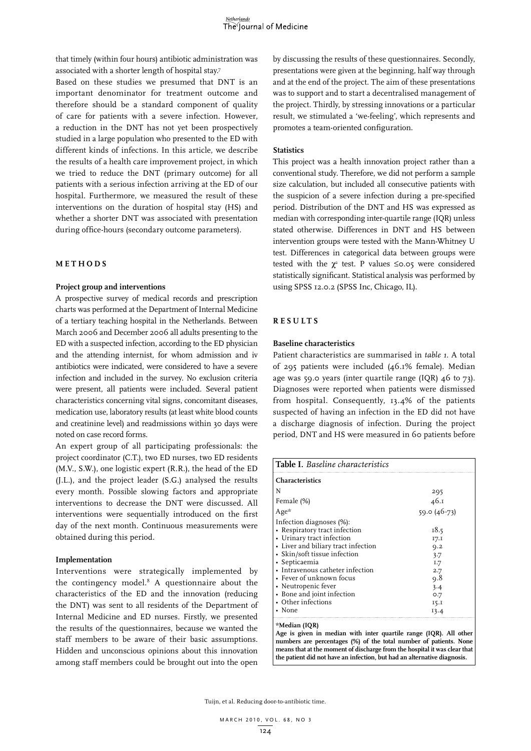that timely (within four hours) antibiotic administration was associated with a shorter length of hospital stay.7

Based on these studies we presumed that DNT is an important denominator for treatment outcome and therefore should be a standard component of quality of care for patients with a severe infection. However, a reduction in the DNT has not yet been prospectively studied in a large population who presented to the ED with different kinds of infections. In this article, we describe the results of a health care improvement project, in which we tried to reduce the DNT (primary outcome) for all patients with a serious infection arriving at the ED of our hospital. Furthermore, we measured the result of these interventions on the duration of hospital stay (HS) and whether a shorter DNT was associated with presentation during office-hours (secondary outcome parameters).

#### **METHODS**

#### **Project group and interventions**

A prospective survey of medical records and prescription charts was performed at the Department of Internal Medicine of a tertiary teaching hospital in the Netherlands. Between March 2006 and December 2006 all adults presenting to the ED with a suspected infection, according to the ED physician and the attending internist, for whom admission and iv antibiotics were indicated, were considered to have a severe infection and included in the survey. No exclusion criteria were present, all patients were included. Several patient characteristics concerning vital signs, concomitant diseases, medication use, laboratory results (at least white blood counts and creatinine level) and readmissions within 30 days were noted on case record forms.

An expert group of all participating professionals: the project coordinator (C.T.), two ED nurses, two ED residents (M.V., S.W.), one logistic expert (R.R.), the head of the ED (J.L.), and the project leader (S.G.) analysed the results every month. Possible slowing factors and appropriate interventions to decrease the DNT were discussed. All interventions were sequentially introduced on the first day of the next month. Continuous measurements were obtained during this period.

#### **Implementation**

Interventions were strategically implemented by the contingency model.8 A questionnaire about the characteristics of the ED and the innovation (reducing the DNT) was sent to all residents of the Department of Internal Medicine and ED nurses. Firstly, we presented the results of the questionnaires, because we wanted the staff members to be aware of their basic assumptions. Hidden and unconscious opinions about this innovation among staff members could be brought out into the open

by discussing the results of these questionnaires. Secondly, presentations were given at the beginning, half way through and at the end of the project. The aim of these presentations was to support and to start a decentralised management of the project. Thirdly, by stressing innovations or a particular result, we stimulated a 'we-feeling', which represents and promotes a team-oriented configuration.

## **Statistics**

This project was a health innovation project rather than a conventional study. Therefore, we did not perform a sample size calculation, but included all consecutive patients with the suspicion of a severe infection during a pre-specified period. Distribution of the DNT and HS was expressed as median with corresponding inter-quartile range (IQR) unless stated otherwise. Differences in DNT and HS between intervention groups were tested with the Mann-Whitney U test. Differences in categorical data between groups were tested with the  $\chi^2$  test. P values  $\leq$ 0.05 were considered statistically significant. Statistical analysis was performed by using SPSS 12.0.2 (SPSS Inc, Chicago, IL).

#### **R e s u l t s**

#### **Baseline characteristics**

Patient characteristics are summarised in *table 1*. A total of 295 patients were included (46.1% female). Median age was 59.0 years (inter quartile range (IQR) 46 to 73). Diagnoses were reported when patients were dismissed from hospital. Consequently, 13.4% of the patients suspected of having an infection in the ED did not have a discharge diagnosis of infection. During the project period, DNT and HS were measured in 60 patients before

| <b>Table I.</b> Baseline characteristics<br><b>Characteristics</b>                                                                                                                                                                                                                                                                  |                                                                               |
|-------------------------------------------------------------------------------------------------------------------------------------------------------------------------------------------------------------------------------------------------------------------------------------------------------------------------------------|-------------------------------------------------------------------------------|
|                                                                                                                                                                                                                                                                                                                                     |                                                                               |
| Female (%)                                                                                                                                                                                                                                                                                                                          | 46.1                                                                          |
| Age <sup>*</sup>                                                                                                                                                                                                                                                                                                                    | $59.0(46-73)$                                                                 |
| Infection diagnoses (%):<br>• Respiratory tract infection<br>• Urinary tract infection<br>• Liver and biliary tract infection<br>• Skin/soft tissue infection<br>• Septicaemia<br>• Intravenous catheter infection<br>• Fever of unknown focus<br>• Neutropenic fever<br>• Bone and joint infection<br>• Other infections<br>• None | 18.5<br>17.I<br>Q.2<br>3.7<br>I.7<br>2.7<br>9.8<br>3.4<br>0.7<br>15.1<br>13.4 |

### **\*Median (IQR)**

**Age is given in median with inter quartile range (IQR). All other numbers are percentages (%) of the total number of patients. None means that at the moment of discharge from the hospital it was clear that the patient did not have an infection, but had an alternative diagnosis.**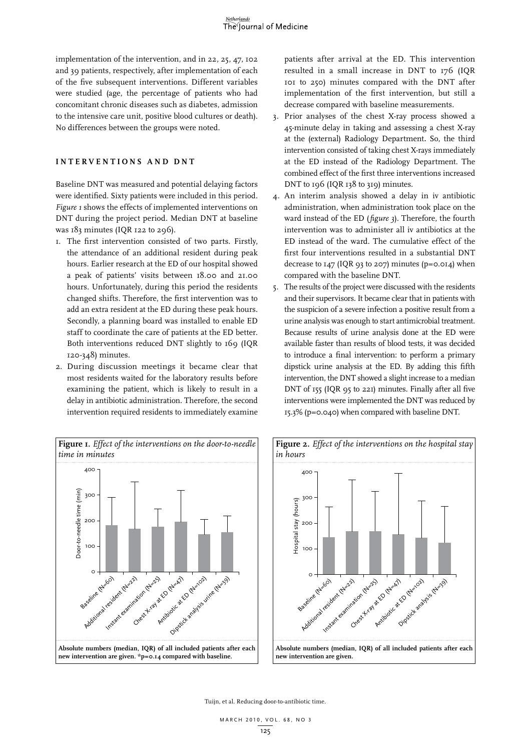implementation of the intervention, and in 22, 25, 47, 102 and 39 patients, respectively, after implementation of each of the five subsequent interventions. Different variables were studied (age, the percentage of patients who had concomitant chronic diseases such as diabetes, admission to the intensive care unit, positive blood cultures or death). No differences between the groups were noted.

### **I n t e r v e n t i o n s a n d DNT**

Baseline DNT was measured and potential delaying factors were identified. Sixty patients were included in this period. *Figure 1* shows the effects of implemented interventions on DNT during the project period. Median DNT at baseline was 183 minutes (IQR 122 to 296).

- 1. The first intervention consisted of two parts. Firstly, the attendance of an additional resident during peak hours. Earlier research at the ED of our hospital showed a peak of patients' visits between 18.00 and 21.00 hours. Unfortunately, during this period the residents changed shifts. Therefore, the first intervention was to add an extra resident at the ED during these peak hours. Secondly, a planning board was installed to enable ED staff to coordinate the care of patients at the ED better. Both interventions reduced DNT slightly to 169 (IQR 120-348) minutes.
- 2. During discussion meetings it became clear that most residents waited for the laboratory results before examining the patient, which is likely to result in a delay in antibiotic administration. Therefore, the second intervention required residents to immediately examine

patients after arrival at the ED. This intervention resulted in a small increase in DNT to 176 (IQR 101 to 250) minutes compared with the DNT after implementation of the first intervention, but still a decrease compared with baseline measurements.

- 3. Prior analyses of the chest X-ray process showed a 45-minute delay in taking and assessing a chest X-ray at the (external) Radiology Department**.** So, the third intervention consisted of taking chest X-rays immediately at the ED instead of the Radiology Department. The combined effect of the first three interventions increased DNT to 196 (IQR 138 to 319) minutes.
- 4. An interim analysis showed a delay in iv antibiotic administration, when administration took place on the ward instead of the ED (*figure 3*). Therefore, the fourth intervention was to administer all iv antibiotics at the ED instead of the ward. The cumulative effect of the first four interventions resulted in a substantial DNT decrease to  $147$  (IQR 93 to 207) minutes (p=0.014) when compared with the baseline DNT.
- 5. The results of the project were discussed with the residents and their supervisors. It became clear that in patients with the suspicion of a severe infection a positive result from a urine analysis was enough to start antimicrobial treatment. Because results of urine analysis done at the ED were available faster than results of blood tests, it was decided to introduce a final intervention: to perform a primary dipstick urine analysis at the ED. By adding this fifth intervention, the DNT showed a slight increase to a median DNT of 155 (IQR 95 to 221) minutes. Finally after all five interventions were implemented the DNT was reduced by 15.3% (p=0.040) when compared with baseline DNT.



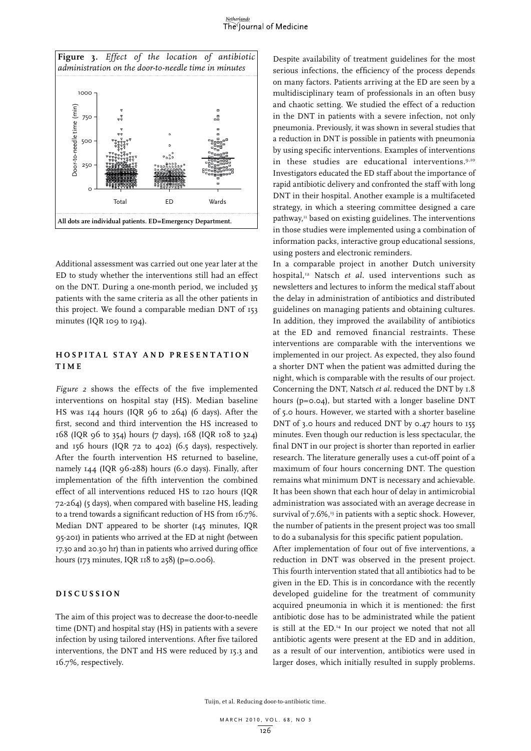#### *<u>Ietherlands</u>* The Journal of Medicine



Additional assessment was carried out one year later at the ED to study whether the interventions still had an effect on the DNT. During a one-month period, we included 35 patients with the same criteria as all the other patients in this project. We found a comparable median DNT of 153 minutes (IQR 109 to 194).

## **H o s p i t a l s t a y a n d p r e s e n t a t i o n t i m e**

*Figure 2* shows the effects of the five implemented interventions on hospital stay (HS). Median baseline HS was 144 hours (IQR 96 to 264) (6 days). After the first, second and third intervention the HS increased to 168 (IQR 96 to 354) hours (7 days), 168 (IQR 108 to 324) and 156 hours (IQR 72 to 402) (6.5 days), respectively. After the fourth intervention HS returned to baseline, namely 144 (IQR 96-288) hours (6.0 days). Finally, after implementation of the fifth intervention the combined effect of all interventions reduced HS to 120 hours (IQR 72-264) (5 days), when compared with baseline HS, leading to a trend towards a significant reduction of HS from 16.7%. Median DNT appeared to be shorter (145 minutes, IQR 95-201) in patients who arrived at the ED at night (between 17.30 and 20.30 hr) than in patients who arrived during office hours (173 minutes, IQR 118 to 258) (p=0.006).

# **D i s c u s s i o n**

The aim of this project was to decrease the door-to-needle time (DNT) and hospital stay (HS) in patients with a severe infection by using tailored interventions. After five tailored interventions, the DNT and HS were reduced by 15.3 and 16.7%, respectively.

Despite availability of treatment guidelines for the most serious infections, the efficiency of the process depends on many factors. Patients arriving at the ED are seen by a multidisciplinary team of professionals in an often busy and chaotic setting. We studied the effect of a reduction in the DNT in patients with a severe infection, not only pneumonia. Previously, it was shown in several studies that a reduction in DNT is possible in patients with pneumonia by using specific interventions. Examples of interventions in these studies are educational interventions.<sup>9,10</sup> Investigators educated the ED staff about the importance of rapid antibiotic delivery and confronted the staff with long DNT in their hospital. Another example is a multifaceted strategy, in which a steering committee designed a care pathway,<sup>11</sup> based on existing guidelines. The interventions in those studies were implemented using a combination of information packs, interactive group educational sessions, using posters and electronic reminders.

In a comparable project in another Dutch university hospital,<sup>12</sup> Natsch *et al.* used interventions such as newsletters and lectures to inform the medical staff about the delay in administration of antibiotics and distributed guidelines on managing patients and obtaining cultures. In addition, they improved the availability of antibiotics at the ED and removed financial restraints. These interventions are comparable with the interventions we implemented in our project. As expected, they also found a shorter DNT when the patient was admitted during the night, which is comparable with the results of our project. Concerning the DNT, Natsch *et al.* reduced the DNT by 1.8 hours (p=0.04), but started with a longer baseline DNT of 5.0 hours. However, we started with a shorter baseline DNT of 3.0 hours and reduced DNT by 0.47 hours to 155 minutes. Even though our reduction is less spectacular, the final DNT in our project is shorter than reported in earlier research. The literature generally uses a cut-off point of a maximum of four hours concerning DNT. The question remains what minimum DNT is necessary and achievable. It has been shown that each hour of delay in antimicrobial administration was associated with an average decrease in survival of  $7.6\%,$ <sup>13</sup> in patients with a septic shock. However, the number of patients in the present project was too small to do a subanalysis for this specific patient population.

After implementation of four out of five interventions, a reduction in DNT was observed in the present project. This fourth intervention stated that all antibiotics had to be given in the ED. This is in concordance with the recently developed guideline for the treatment of community acquired pneumonia in which it is mentioned: the first antibiotic dose has to be administrated while the patient is still at the ED.<sup>14</sup> In our project we noted that not all antibiotic agents were present at the ED and in addition, as a result of our intervention, antibiotics were used in larger doses, which initially resulted in supply problems.